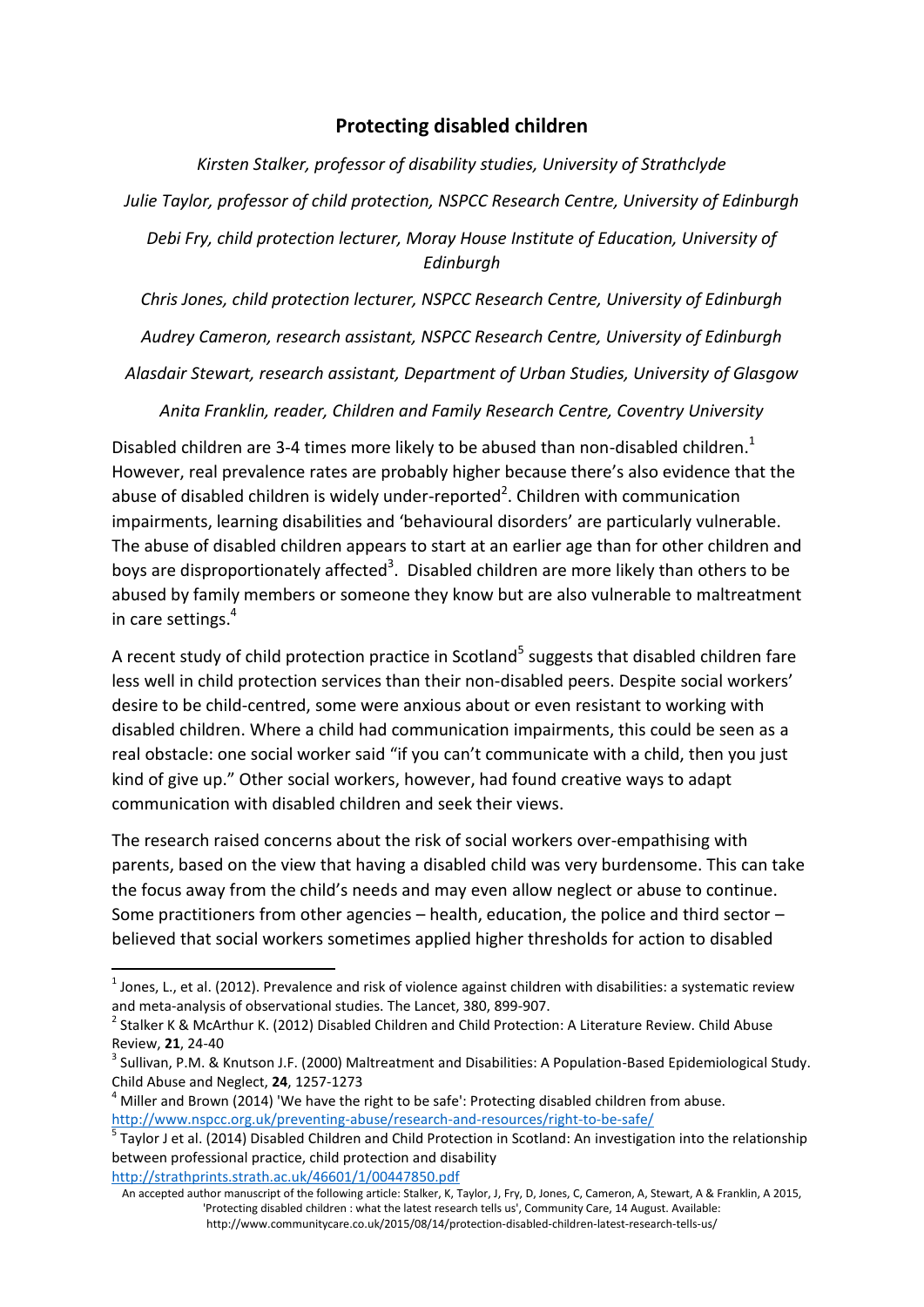## **Protecting disabled children**

*Kirsten Stalker, professor of disability studies, University of Strathclyde Julie Taylor, professor of child protection, NSPCC Research Centre, University of Edinburgh Debi Fry, child protection lecturer, Moray House Institute of Education, University of Edinburgh*

*Chris Jones, child protection lecturer, NSPCC Research Centre, University of Edinburgh*

*Audrey Cameron, research assistant, NSPCC Research Centre, University of Edinburgh*

*Alasdair Stewart, research assistant, Department of Urban Studies, University of Glasgow*

*Anita Franklin, reader, Children and Family Research Centre, Coventry University*

Disabled children are 3-4 times more likely to be abused than non-disabled children.<sup>1</sup> However, real prevalence rates are probably higher because there's also evidence that the abuse of disabled children is widely under-reported<sup>2</sup>. Children with communication impairments, learning disabilities and 'behavioural disorders' are particularly vulnerable. The abuse of disabled children appears to start at an earlier age than for other children and boys are disproportionately affected<sup>3</sup>. Disabled children are more likely than others to be abused by family members or someone they know but are also vulnerable to maltreatment in care settings.<sup>4</sup>

A recent study of child protection practice in Scotland<sup>5</sup> suggests that disabled children fare less well in child protection services than their non-disabled peers. Despite social workers' desire to be child-centred, some were anxious about or even resistant to working with disabled children. Where a child had communication impairments, this could be seen as a real obstacle: one social worker said "if you can't communicate with a child, then you just kind of give up." Other social workers, however, had found creative ways to adapt communication with disabled children and seek their views.

The research raised concerns about the risk of social workers over-empathising with parents, based on the view that having a disabled child was very burdensome. This can take the focus away from the child's needs and may even allow neglect or abuse to continue. Some practitioners from other agencies – health, education, the police and third sector – believed that social workers sometimes applied higher thresholds for action to disabled

**.** 

 $^1$  Jones, L., et al. (2012). Prevalence and risk of violence against children with disabilities: a systematic review and meta-analysis of observational studies. The Lancet, 380, 899-907.

<sup>&</sup>lt;sup>2</sup> Stalker K & McArthur K. (2012) Disabled Children and Child Protection: A Literature Review. Child Abuse Review, **21**, 24-40

<sup>&</sup>lt;sup>3</sup> Sullivan, P.M. & Knutson J.F. (2000) Maltreatment and Disabilities: A Population-Based Epidemiological Study. Child Abuse and Neglect, **24**, 1257-1273

 $4$  Miller and Brown (2014) 'We have the right to be safe': Protecting disabled children from abuse. <http://www.nspcc.org.uk/preventing-abuse/research-and-resources/right-to-be-safe/>

<sup>5</sup> Taylor J et al. (2014) Disabled Children and Child Protection in Scotland: An investigation into the relationship between professional practice, child protection and disability <http://strathprints.strath.ac.uk/46601/1/00447850.pdf>

An accepted author manuscript of the following article: Stalker, K, Taylor, J, Fry, D, Jones, C, Cameron, A, Stewart, A & Franklin, A 2015, 'Protecting disabled children : what the latest research tells us', Community Care, 14 August. Available: http://www.communitycare.co.uk/2015/08/14/protection-disabled-children-latest-research-tells-us/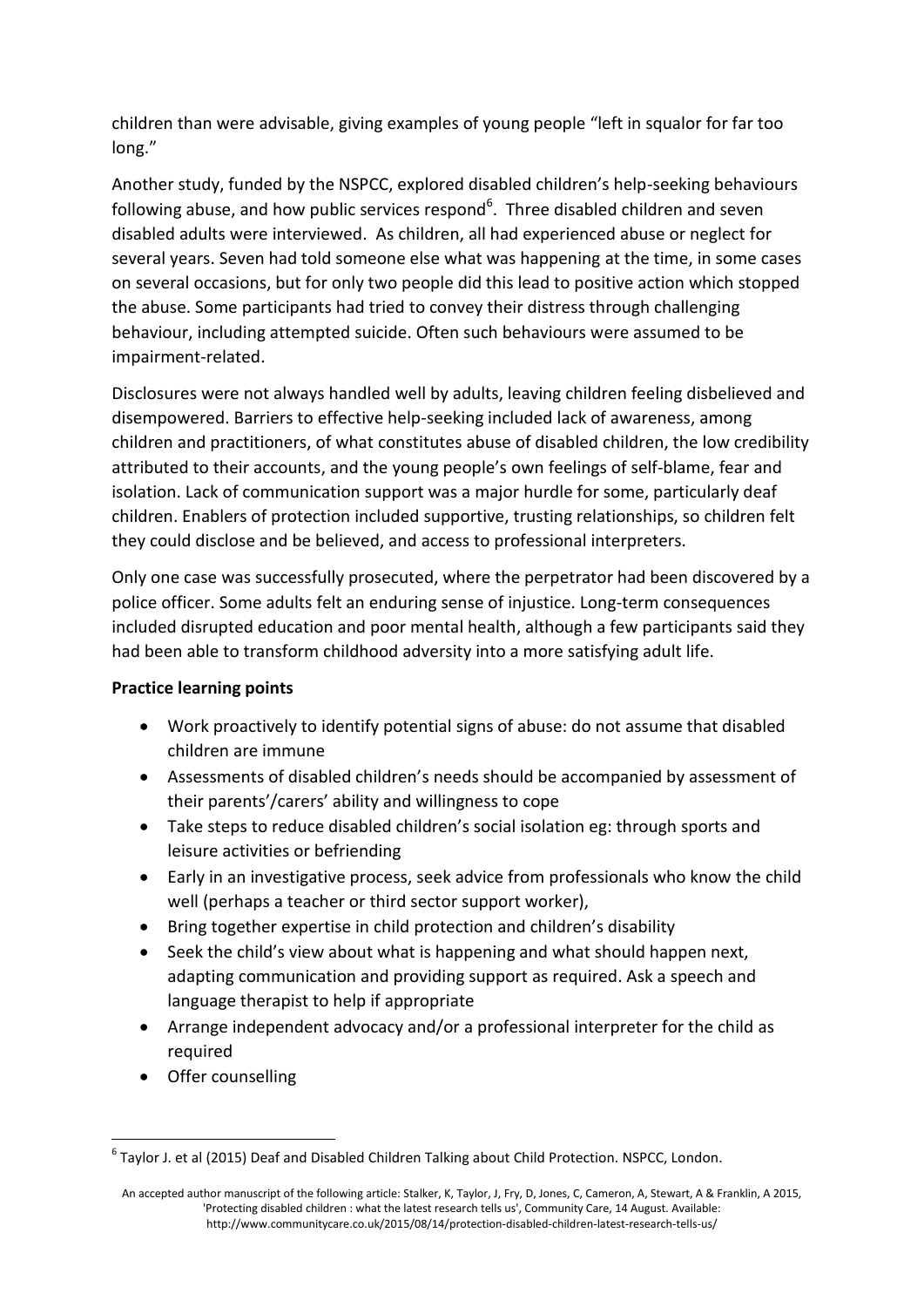children than were advisable, giving examples of young people "left in squalor for far too long."

Another study, funded by the NSPCC, explored disabled children's help-seeking behaviours following abuse, and how public services respond<sup>6</sup>. Three disabled children and seven disabled adults were interviewed. As children, all had experienced abuse or neglect for several years. Seven had told someone else what was happening at the time, in some cases on several occasions, but for only two people did this lead to positive action which stopped the abuse. Some participants had tried to convey their distress through challenging behaviour, including attempted suicide. Often such behaviours were assumed to be impairment-related.

Disclosures were not always handled well by adults, leaving children feeling disbelieved and disempowered. Barriers to effective help-seeking included lack of awareness, among children and practitioners, of what constitutes abuse of disabled children, the low credibility attributed to their accounts, and the young people's own feelings of self-blame, fear and isolation. Lack of communication support was a major hurdle for some, particularly deaf children. Enablers of protection included supportive, trusting relationships, so children felt they could disclose and be believed, and access to professional interpreters.

Only one case was successfully prosecuted, where the perpetrator had been discovered by a police officer. Some adults felt an enduring sense of injustice. Long-term consequences included disrupted education and poor mental health, although a few participants said they had been able to transform childhood adversity into a more satisfying adult life.

## **Practice learning points**

- Work proactively to identify potential signs of abuse: do not assume that disabled children are immune
- Assessments of disabled children's needs should be accompanied by assessment of their parents'/carers' ability and willingness to cope
- Take steps to reduce disabled children's social isolation eg: through sports and leisure activities or befriending
- Early in an investigative process, seek advice from professionals who know the child well (perhaps a teacher or third sector support worker),
- Bring together expertise in child protection and children's disability
- Seek the child's view about what is happening and what should happen next, adapting communication and providing support as required. Ask a speech and language therapist to help if appropriate
- Arrange independent advocacy and/or a professional interpreter for the child as required
- Offer counselling

**<sup>.</sup>**  $^6$  Taylor J. et al (2015) Deaf and Disabled Children Talking about Child Protection. NSPCC, London.

An accepted author manuscript of the following article: Stalker, K, Taylor, J, Fry, D, Jones, C, Cameron, A, Stewart, A & Franklin, A 2015, 'Protecting disabled children : what the latest research tells us', Community Care, 14 August. Available: http://www.communitycare.co.uk/2015/08/14/protection-disabled-children-latest-research-tells-us/